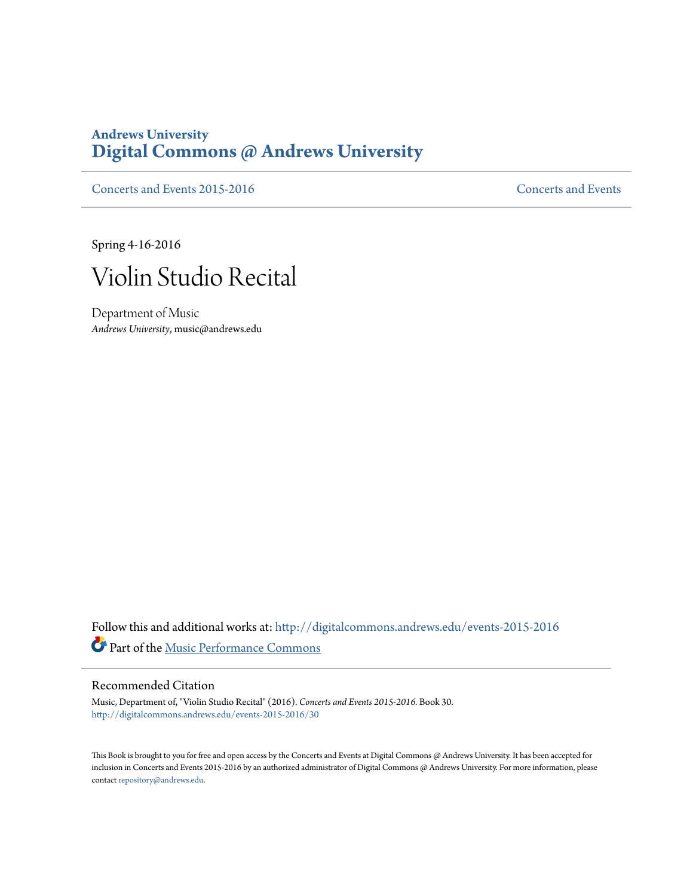## **Andrews University [Digital Commons @ Andrews University](http://digitalcommons.andrews.edu?utm_source=digitalcommons.andrews.edu%2Fevents-2015-2016%2F30&utm_medium=PDF&utm_campaign=PDFCoverPages)**

[Concerts and Events 2015-2016](http://digitalcommons.andrews.edu/events-2015-2016?utm_source=digitalcommons.andrews.edu%2Fevents-2015-2016%2F30&utm_medium=PDF&utm_campaign=PDFCoverPages) [Concerts and Events](http://digitalcommons.andrews.edu/music-events?utm_source=digitalcommons.andrews.edu%2Fevents-2015-2016%2F30&utm_medium=PDF&utm_campaign=PDFCoverPages)

Spring 4-16-2016



Department of Music *Andrews University*, music@andrews.edu

Follow this and additional works at: [http://digitalcommons.andrews.edu/events-2015-2016](http://digitalcommons.andrews.edu/events-2015-2016?utm_source=digitalcommons.andrews.edu%2Fevents-2015-2016%2F30&utm_medium=PDF&utm_campaign=PDFCoverPages) Part of the [Music Performance Commons](http://network.bepress.com/hgg/discipline/1128?utm_source=digitalcommons.andrews.edu%2Fevents-2015-2016%2F30&utm_medium=PDF&utm_campaign=PDFCoverPages)

## Recommended Citation

Music, Department of, "Violin Studio Recital" (2016). *Concerts and Events 2015-2016.* Book 30. [http://digitalcommons.andrews.edu/events-2015-2016/30](http://digitalcommons.andrews.edu/events-2015-2016/30?utm_source=digitalcommons.andrews.edu%2Fevents-2015-2016%2F30&utm_medium=PDF&utm_campaign=PDFCoverPages)

This Book is brought to you for free and open access by the Concerts and Events at Digital Commons @ Andrews University. It has been accepted for inclusion in Concerts and Events 2015-2016 by an authorized administrator of Digital Commons @ Andrews University. For more information, please contact [repository@andrews.edu.](mailto:repository@andrews.edu)